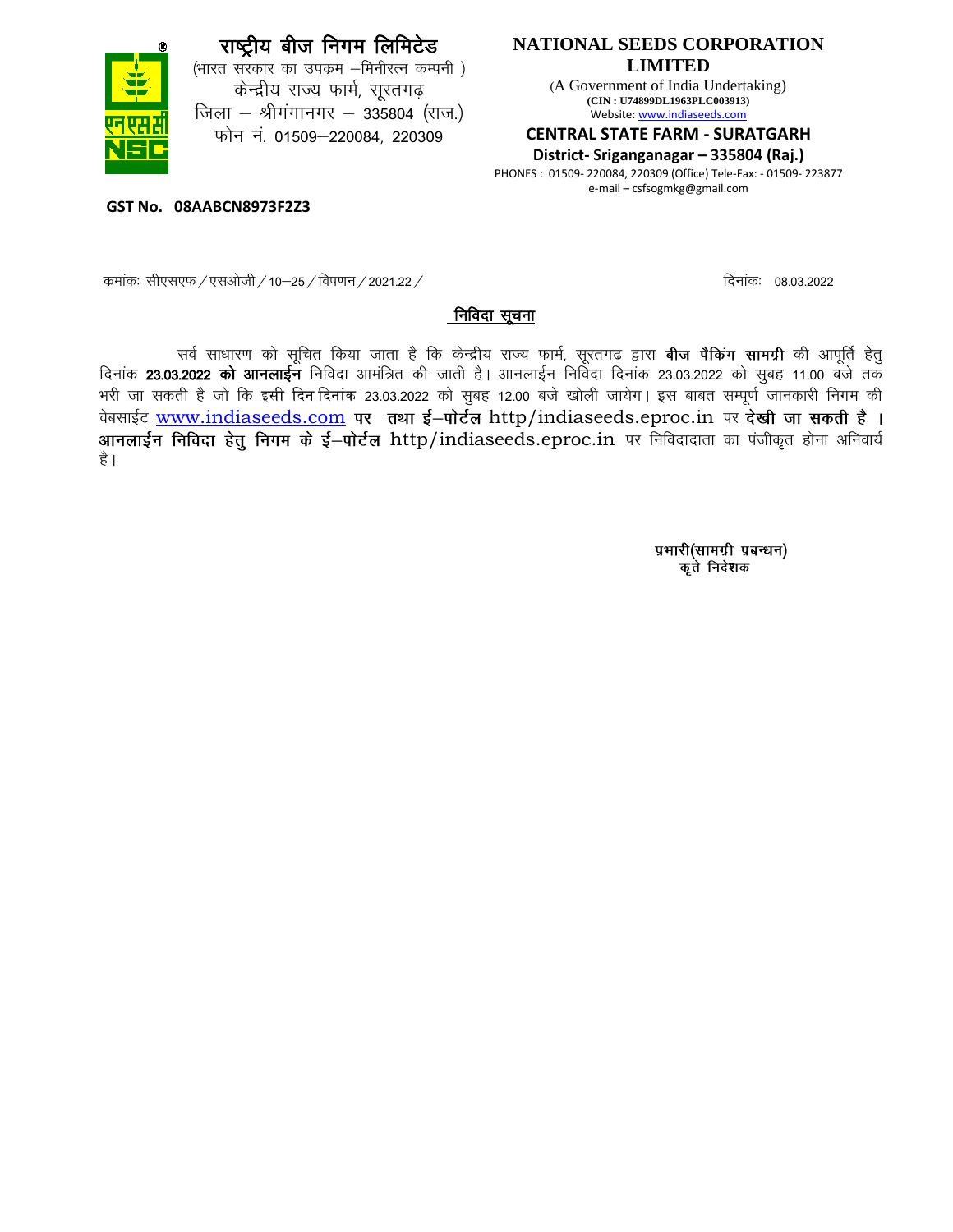

(भारत सरकार का उपक्रम -मिनीरत्न कम्पनी) केन्द्रीय राज्य फार्म, सूरतगढ़ जिला – श्रीगंगानगर – 335804 (राज.) फोन नं. 01509–220084, 220309

### **NATIONAL SEEDS CORPORATION LIMITED**

(A Government of India Undertaking) **(CIN : U74899DL1963PLC003913)** Website: www.indiaseeds.com

#### **CENTRAL STATE FARM - SURATGARH**

**District- Sriganganagar – 335804 (Raj.)**

PHONES : 01509- 220084, 220309 (Office) Tele-Fax: - 01509- 223877 e-mail – csfsogmkg@gmail.com

**GST No. 08AABCN8973F2Z3**

: कमांकः सीएसएफ / एसओजी / 10–25 / विपणन / 2021.22 / कमांकः कार्यः कार्यः कार्यः निनांकः 08.03.2022

#### निविदा सूचना

सर्व साधारण को सूचित किया जाता है कि केन्द्रीय राज्य फार्म, सूरतगढ द्वारा **बीज पैकिंग सामग्री** की आपूर्ति हेतु दिनाक 23.03.2022 को आनलाईन निविदा आमंत्रित की जाती है। आनलाईन निविदा दिनांक 23.03.2022 को सुबह 11.00 बजे तक भरी जा सकती है जो कि इसी दिन दिनांक 23.03.2022 को सुबह 12.00 बजे खोली जायेग। इस बाबत सम्पूर्ण जानकारी निगम की वेबसाईट [www.indiaseeds.com](http://www.indiaseeds.com/) पर तथा ई-पोर्टल http/indiaseeds.eproc.in पर देखी जा सकती है। आनलाईन निविदा हेतु निगम के ई-पोर्टल http/indiaseeds.eproc.in पर निविदादाता का पंजीकृत होना अनिवार्य है ।

> प्रभारी(सामग्री प्रबन्धन) कृते निदेशक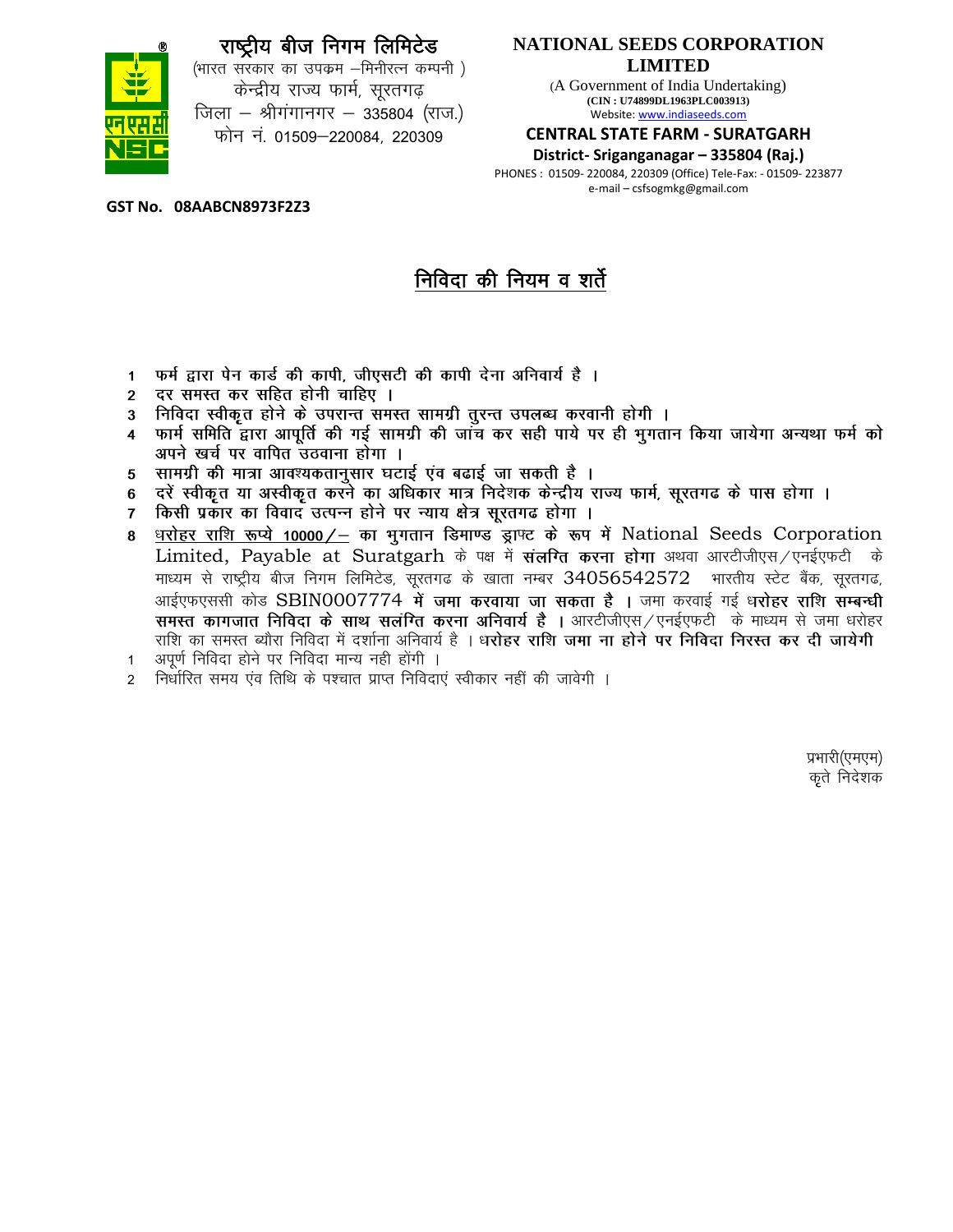(भारत सरकार का उपक्रम –मिनीरत्न कम्पनी) केन्द्रीय राज्य फार्म, सूरतगढ़ जिला – श्रीगंगानगर – 335804 (राज.) फोन नं. 01509–220084, 220309

### **NATIONAL SEEDS CORPORATION LIMITED**

(A Government of India Undertaking) **(CIN : U74899DL1963PLC003913)** Website: www.indiaseeds.com

#### **CENTRAL STATE FARM - SURATGARH**

**District- Sriganganagar – 335804 (Raj.)**

PHONES : 01509- 220084, 220309 (Office) Tele-Fax: - 01509- 223877 e-mail – csfsogmkg@gmail.com

**GST No. 08AABCN8973F2Z3**

# निविदा की नियम व शर्ते

- फर्म द्वारा पेन कार्ड की कापी, जीएसटी की कापी देना अनिवार्य है ।  $\blacksquare$
- दर समस्त कर सहित होनी चाहिए ।  $\overline{2}$
- निविदा स्वीकृत होने के उपरान्त समस्त सामग्री तूरन्त उपलब्ध करवानी होगी ।  $3<sup>1</sup>$
- फार्म समिति द्वारा आपूर्ति की गई सामग्री की जांच कर सही पाये पर ही भूगतान किया जायेगा अन्यथा फर्म को  $\overline{\mathbf{4}}$ अपने खर्च पर वापित उठवाना होगा ।
- सामग्री की मात्रा आवश्यकतानुसार घटाई एंव बढाई जा सकती है । 5
- दरें स्वीकृत या अस्वीकृत करने का अधिकार मात्र निदेशक केन्द्रीय राज्य फार्म, सूरतगढ के पास होगा ।<br>किसी प्रकार का विवाद उत्पन्न होने पर न्याय क्षेत्र सूरतगढ होगा । 6
- $\overline{7}$
- धरोहर राशि रूप्ये 10000/- का भुगतान डिमाण्ड ड्राफ्ट के रूप में National Seeds Corporation Limited, Payable at Suratgarh के पक्ष में संलग्ति करना होगा अथवा आरटीजीएस/एनईएफटी के माध्यम से राष्ट्रीय बीज निगम लिमिटेड, सूरतगढ के खाता नम्बर  $34056542572$  भारतीय स्टेट बैंक, सूरतगढ, आईएफएससी कोड SBIN0007774 में जमा करवाया जा सकता है । जमा करवाई गई धरोहर राशि सम्बन्धी समस्त कागजात निविदा के साथ सलंग्ति करना अनिवार्य है । आरटीजीएस / एनईएफटी के माध्यम से जमा धरोहर राशि का समस्त ब्यौरा निविदा में दर्शाना अनिवार्य है । ध**रोहर राशि जमा ना होने पर निविदा निरस्त कर दी जायेगी**
- 1 अपूर्ण निविदा होने पर निविदा मान्य नही होंगी ।
- 2 निर्धारित समय एव तिथि के पश्चात प्राप्त निविदाएं स्वीकार नहीं की जावेगी ।

प्रभारी(एमएम) कृते निदेशक

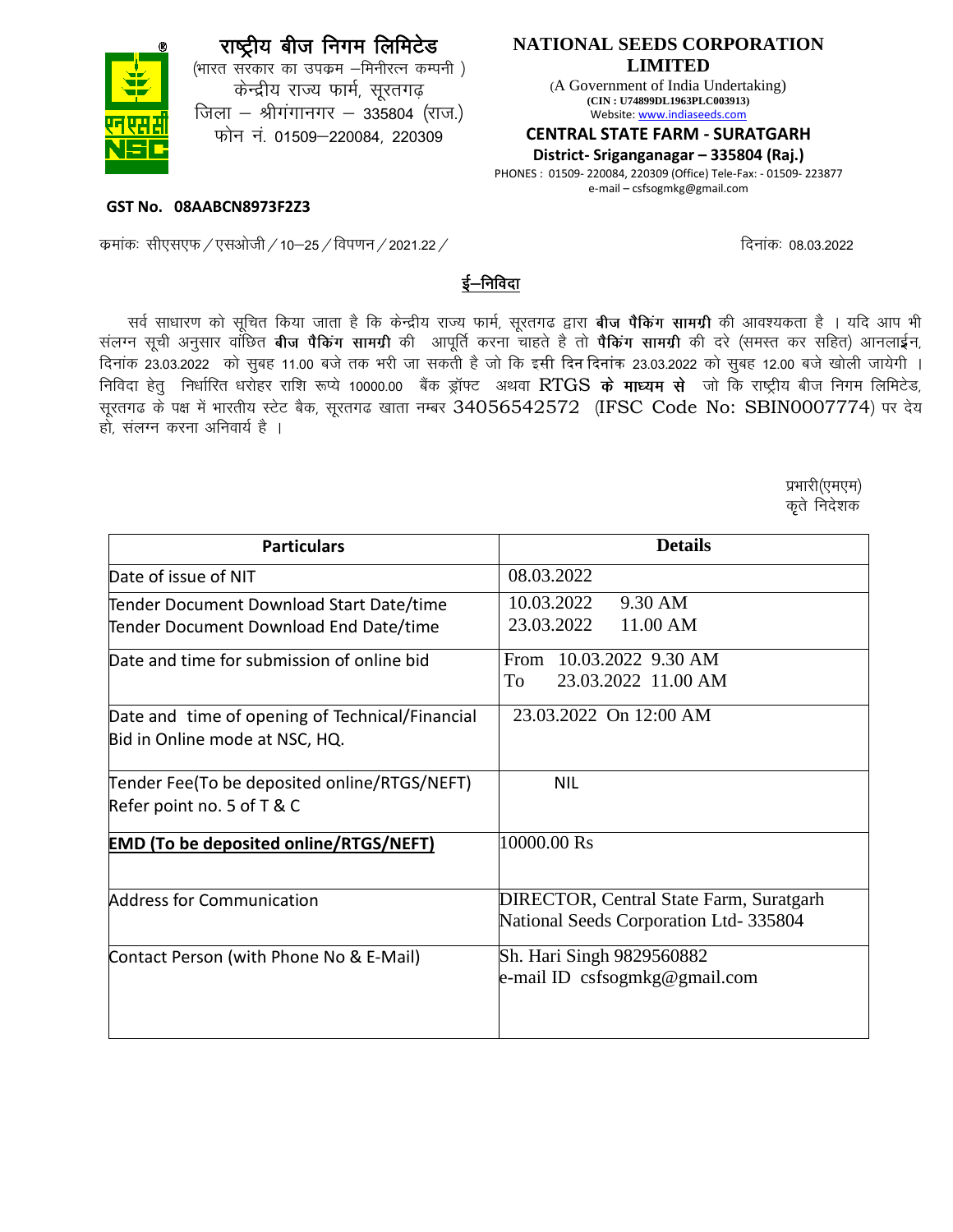(भारत सरकार का उपक्रम –मिनीरत्न कम्पनी) केन्द्रीय राज्य फार्म, सूरतगढ़ जिला – श्रीगंगानगर – 335804 (राज.) फोन नं. 01509–220084, 220309

### **NATIONAL SEEDS CORPORATION LIMITED**

(A Government of India Undertaking) **(CIN : U74899DL1963PLC003913)** Website: www.indiaseeds.com

#### **CENTRAL STATE FARM - SURATGARH**

**District- Sriganganagar – 335804 (Raj.)**

PHONES : 01509- 220084, 220309 (Office) Tele-Fax: - 01509- 223877 e-mail – csfsogmkg@gmail.com

**GST No. 08AABCN8973F2Z3**

dzekad% lh,l,Q@,lvksth@10&25@foi.ku@2021-22@ fnuk ad% 08-03-2022

## ई–निविदा

सर्व साधारण को सूचित किया जाता है कि केन्द्रीय राज्य फार्म, सूरतगढ द्वारा **बीज पैकिंग सामग्री** की आवश्यकता है । यदि आप भी संलग्न सूची अनुसार वाछित **बीज पैकिंग सामग्री** की आपूर्ति करना चाहते है तो **पैकिंग सामग्री** की दरे (समस्त कर सहित) आनलाईन, दिनांक 23.03.2022 को सुबह 11.00 बजे तक भरी जा सकती है जो कि इसी दिन दिनांक 23.03.2022 को सुबह 12.00 बजे खोली जायेगी । निविदा हेत् निर्धारित धरोहर राशि रूप्ये 10000.00 बैंक ड्रॉफ्ट अथवा RTGS के माध्यम से जो कि राष्ट्रीय बीज निगम लिमिटेड, सूरतगढ़ के पक्ष में भारतीय स्टेट बैक, सूरतगढ़ खाता नम्बर 34056542572 (IFSC Code No: SBIN0007774) पर देय हो. संलग्न करना अनिवार्य है ।

 $\Delta \lambda = \lambda \ln \left( \Delta \left( \lambda \right) \right)$ प्रभा $\Omega$ (एमएम $\lambda$ doministan'i Roman (Roman de Carlos de Carlos de Carlos de Carlos de Carlos de Carlos de Carlos de Carlos de C

| <b>Particulars</b>                                                                 | <b>Details</b>                                                                           |  |  |
|------------------------------------------------------------------------------------|------------------------------------------------------------------------------------------|--|--|
| Date of issue of NIT                                                               | 08.03.2022                                                                               |  |  |
| Tender Document Download Start Date/time<br>Tender Document Download End Date/time | 10.03.2022<br>9.30 AM<br>23.03.2022<br>11.00 AM                                          |  |  |
| Date and time for submission of online bid                                         | From 10.03.2022 9.30 AM<br>23.03.2022 11.00 AM<br>To                                     |  |  |
| Date and time of opening of Technical/Financial<br>Bid in Online mode at NSC, HQ.  | 23.03.2022 On 12:00 AM                                                                   |  |  |
| Tender Fee(To be deposited online/RTGS/NEFT)<br>Refer point no. 5 of T & C         | <b>NIL</b>                                                                               |  |  |
| <b>EMD (To be deposited online/RTGS/NEFT)</b>                                      | 10000.00 Rs                                                                              |  |  |
| <b>Address for Communication</b>                                                   | <b>DIRECTOR, Central State Farm, Suratgarh</b><br>National Seeds Corporation Ltd- 335804 |  |  |
| Contact Person (with Phone No & E-Mail)                                            | Sh. Hari Singh 9829560882<br>e-mail ID csfsogmkg@gmail.com                               |  |  |

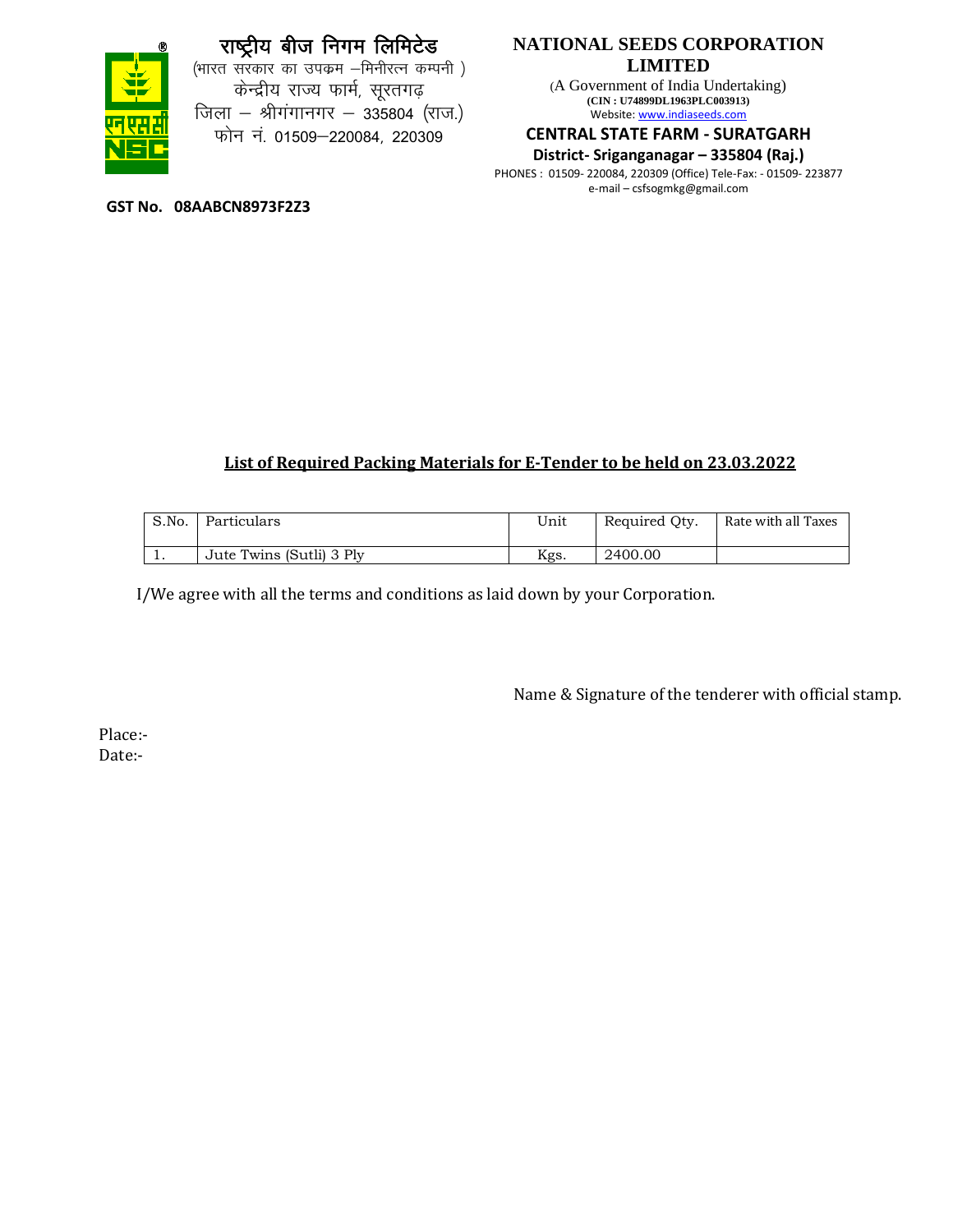

(भारत सरकार का उपक्रम –मिनीरत्न कम्पनी ) केन्द्रीय राज्य फार्म, सूरतगढ़ जिला - श्रीगंगानगर - 335804 (राज.) फोन नं. 01509–220084, 220309

## **NATIONAL SEEDS CORPORATION LIMITED**

(A Government of India Undertaking) **(CIN : U74899DL1963PLC003913)** Website: www.indiaseeds.com

#### **CENTRAL STATE FARM - SURATGARH**

#### **District- Sriganganagar – 335804 (Raj.)**

PHONES : 01509- 220084, 220309 (Office) Tele-Fax: - 01509- 223877 e-mail – csfsogmkg@gmail.com

**GST No. 08AABCN8973F2Z3**

## **List of Required Packing Materials for E-Tender to be held on 23.03.2022**

| S.No.      | Particulars              | Unit | Required Oty. | Rate with all Taxes |
|------------|--------------------------|------|---------------|---------------------|
| <b>. .</b> | Jute Twins (Sutli) 3 Ply | Kgs. | 2400.00       |                     |

I/We agree with all the terms and conditions as laid down by your Corporation.

Name & Signature of the tenderer with official stamp.

Place:- Date:-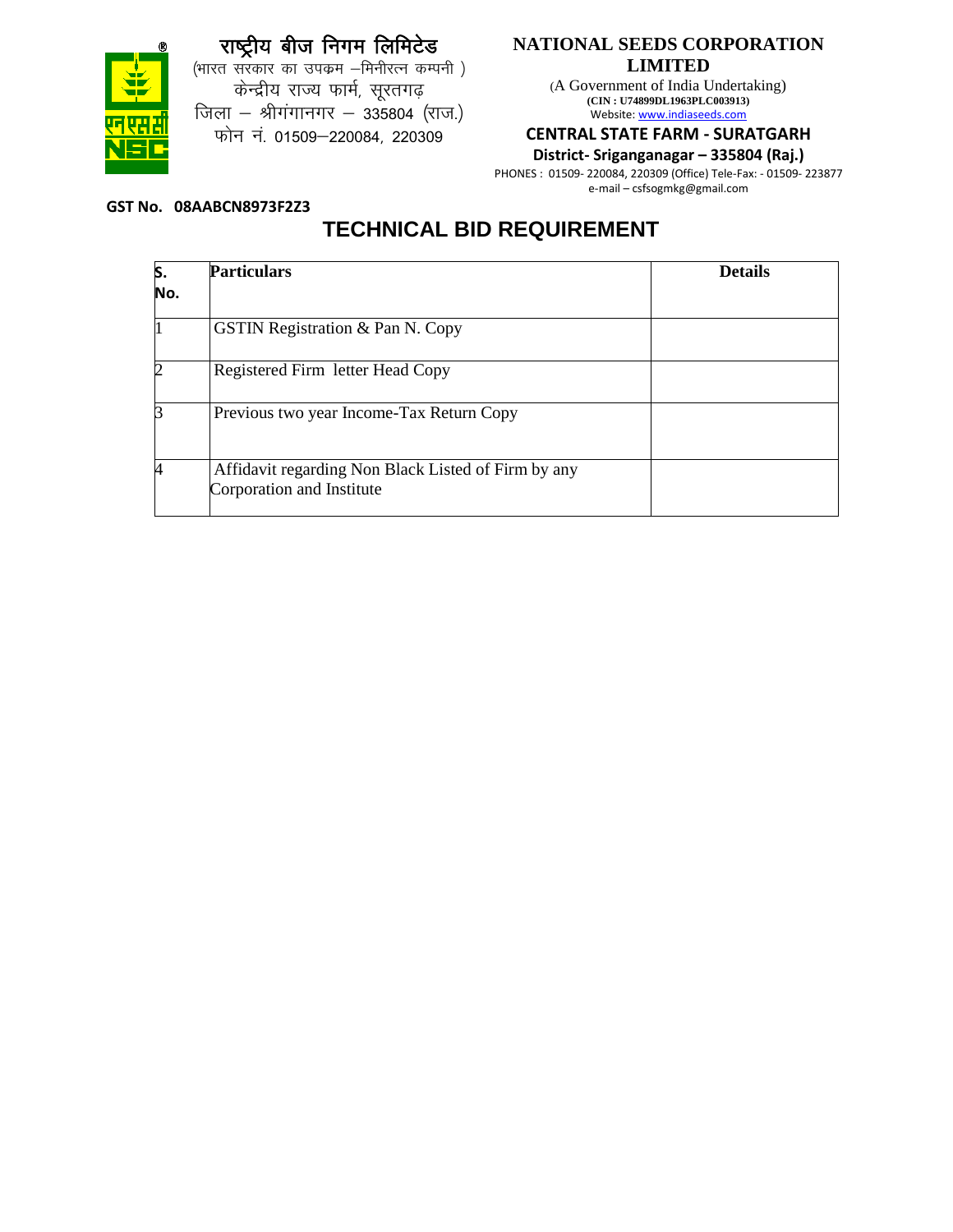



(भारत सरकार का उपक्रम –मिनीरत्न कम्पनी) केन्द्रीय राज्य फार्म, सूरतगढ़ जिला - श्रीगंगानगर - 335804 (राज.) फोन नं. 01509-220084, 220309

## **NATIONAL SEEDS CORPORATION LIMITED**

(A Government of India Undertaking) **(CIN : U74899DL1963PLC003913)** Website: www.indiaseeds.com

#### **CENTRAL STATE FARM - SURATGARH**

**District- Sriganganagar – 335804 (Raj.)**

PHONES : 01509- 220084, 220309 (Office) Tele-Fax: - 01509- 223877 e-mail – csfsogmkg@gmail.com

#### **GST No. 08AABCN8973F2Z3**

# **TECHNICAL BID REQUIREMENT**

| S.  | <b>Particulars</b>                                                               | <b>Details</b> |
|-----|----------------------------------------------------------------------------------|----------------|
| No. |                                                                                  |                |
|     | <b>GSTIN Registration &amp; Pan N. Copy</b>                                      |                |
|     | Registered Firm letter Head Copy                                                 |                |
|     | Previous two year Income-Tax Return Copy                                         |                |
|     | Affidavit regarding Non Black Listed of Firm by any<br>Corporation and Institute |                |